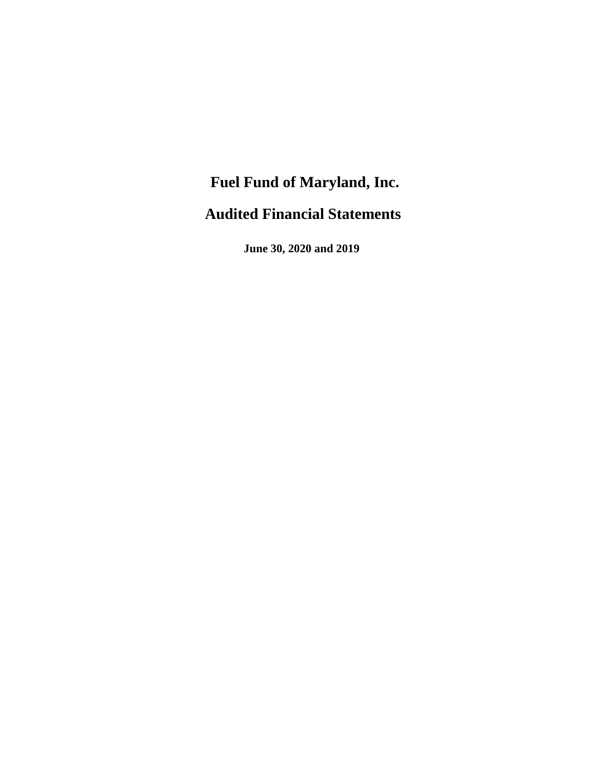# **Audited Financial Statements**

 **June 30, 2020 and 2019**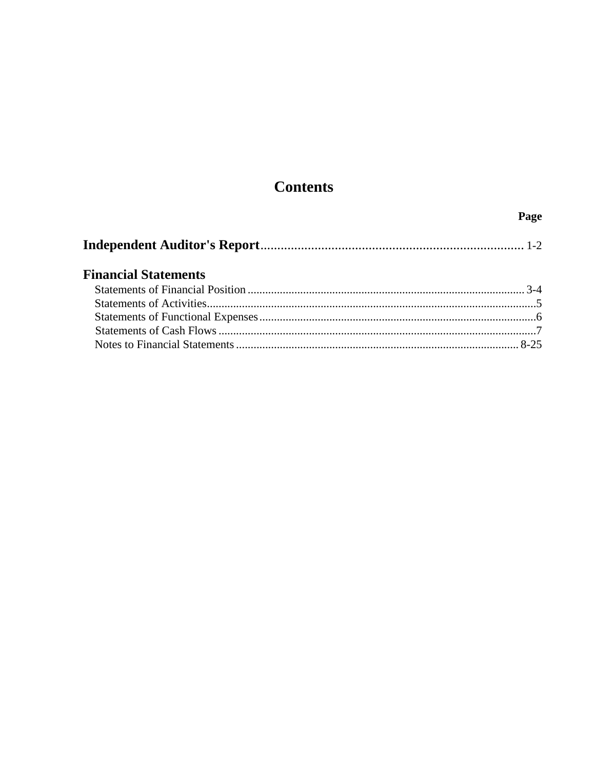# **Contents**

|                             | Page |
|-----------------------------|------|
|                             |      |
| <b>Financial Statements</b> |      |
|                             |      |
|                             |      |
|                             |      |
|                             |      |
|                             |      |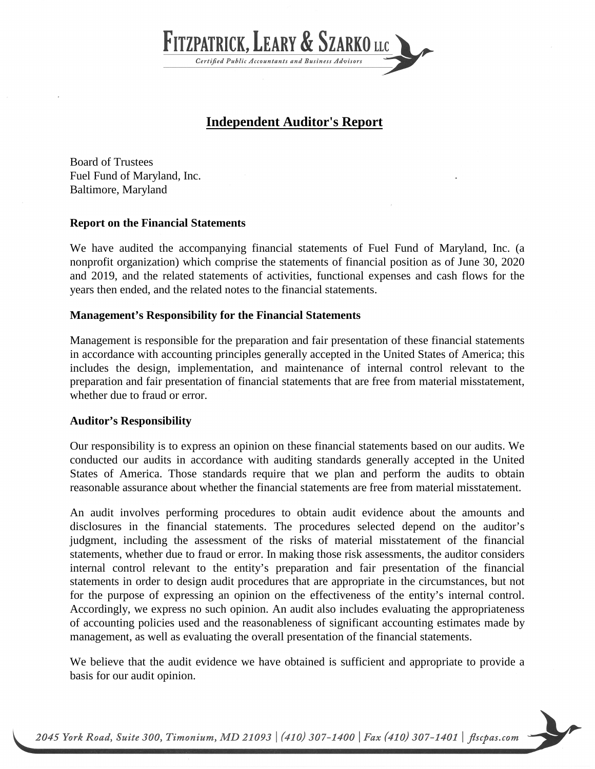# **FITZPATRICK, LEARY & SZARKO LLC** Certified Public Accountants and Business Advisors

# **Independent Auditor's Report**

Board of Trustees Fuel Fund of Maryland, Inc. Baltimore, Maryland

#### **Report on the Financial Statements**

We have audited the accompanying financial statements of Fuel Fund of Maryland, Inc. (a nonprofit organization) which comprise the statements of financial position as of June 30, 2020 and 2019, and the related statements of activities, functional expenses and cash flows for the years then ended, and the related notes to the financial statements.

#### **Management's Responsibility for the Financial Statements**

Management is responsible for the preparation and fair presentation of these financial statements in accordance with accounting principles generally accepted in the United States of America; this includes the design, implementation, and maintenance of internal control relevant to the preparation and fair presentation of financial statements that are free from material misstatement, whether due to fraud or error.

#### **Auditor's Responsibility**

Our responsibility is to express an opinion on these financial statements based on our audits. We conducted our audits in accordance with auditing standards generally accepted in the United States of America. Those standards require that we plan and perform the audits to obtain reasonable assurance about whether the financial statements are free from material misstatement.

An audit involves performing procedures to obtain audit evidence about the amounts and disclosures in the financial statements. The procedures selected depend on the auditor's judgment, including the assessment of the risks of material misstatement of the financial statements, whether due to fraud or error. In making those risk assessments, the auditor considers internal control relevant to the entity's preparation and fair presentation of the financial statements in order to design audit procedures that are appropriate in the circumstances, but not for the purpose of expressing an opinion on the effectiveness of the entity's internal control. Accordingly, we express no such opinion. An audit also includes evaluating the appropriateness of accounting policies used and the reasonableness of significant accounting estimates made by management, as well as evaluating the overall presentation of the financial statements.

We believe that the audit evidence we have obtained is sufficient and appropriate to provide a basis for our audit opinion.

2045 York Road, Suite 300, Timonium, MD 21093 | (410) 307-1400 | Fax (410) 307-1401 | flscpas.com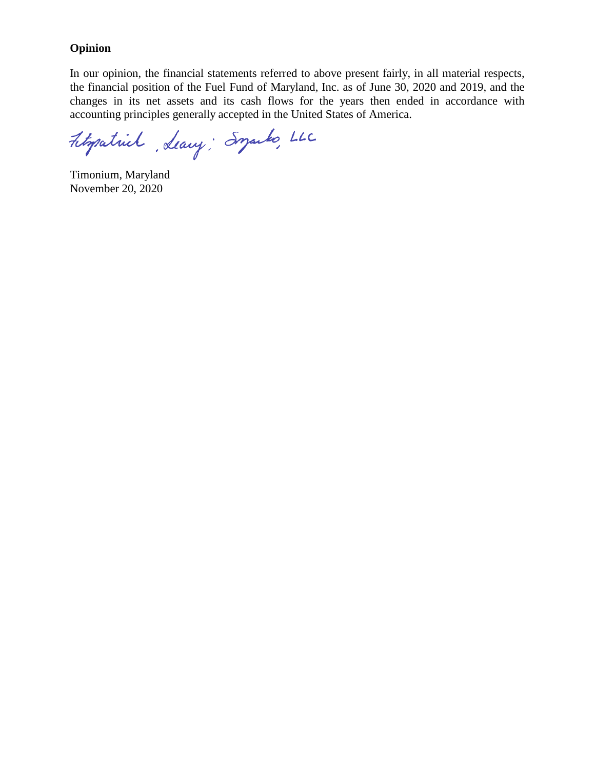# **Opinion**

In our opinion, the financial statements referred to above present fairly, in all material respects, the financial position of the Fuel Fund of Maryland, Inc. as of June 30, 2020 and 2019, and the changes in its net assets and its cash flows for the years then ended in accordance with accounting principles generally accepted in the United States of America.

Fitopatrick, Leavy; Syarko, LLC

Timonium, Maryland November 20, 2020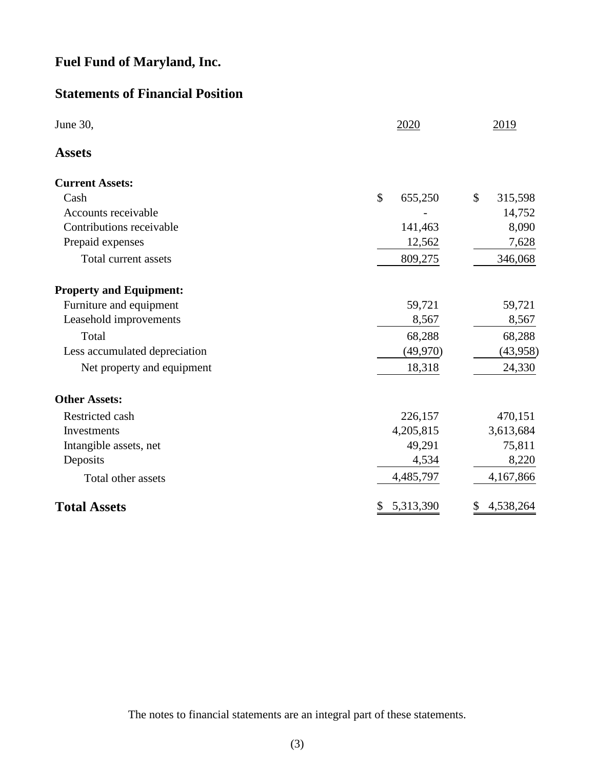# **Statements of Financial Position**

| June 30,                       | 2020            | 2019                     |  |
|--------------------------------|-----------------|--------------------------|--|
| <b>Assets</b>                  |                 |                          |  |
| <b>Current Assets:</b>         |                 |                          |  |
| Cash                           | \$<br>655,250   | $\mathcal{S}$<br>315,598 |  |
| Accounts receivable            |                 | 14,752                   |  |
| Contributions receivable       | 141,463         | 8,090                    |  |
| Prepaid expenses               | 12,562          | 7,628                    |  |
| Total current assets           | 809,275         | 346,068                  |  |
| <b>Property and Equipment:</b> |                 |                          |  |
| Furniture and equipment        | 59,721          | 59,721                   |  |
| Leasehold improvements         | 8,567           | 8,567                    |  |
| Total                          | 68,288          | 68,288                   |  |
| Less accumulated depreciation  | (49,970)        | (43,958)                 |  |
| Net property and equipment     | 18,318          | 24,330                   |  |
| <b>Other Assets:</b>           |                 |                          |  |
| Restricted cash                | 226,157         | 470,151                  |  |
| <b>Investments</b>             | 4,205,815       | 3,613,684                |  |
| Intangible assets, net         | 49,291          | 75,811                   |  |
| Deposits                       | 4,534           | 8,220                    |  |
| Total other assets             | 4,485,797       | 4,167,866                |  |
| <b>Total Assets</b>            | 5,313,390<br>\$ | 4,538,264                |  |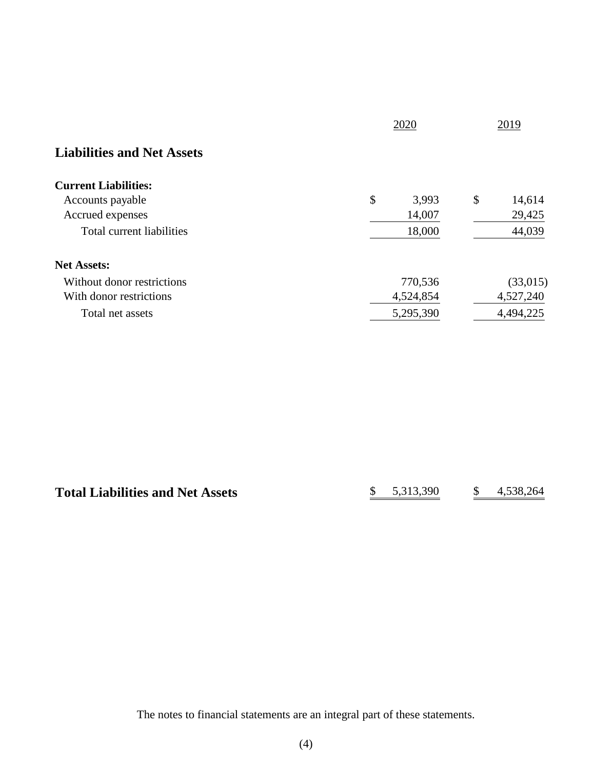|                                   | 2020 |           | 2019 |           |
|-----------------------------------|------|-----------|------|-----------|
| <b>Liabilities and Net Assets</b> |      |           |      |           |
| <b>Current Liabilities:</b>       |      |           |      |           |
| Accounts payable                  | \$   | 3,993     | \$   | 14,614    |
| Accrued expenses                  |      | 14,007    |      | 29,425    |
| Total current liabilities         |      | 18,000    |      | 44,039    |
| <b>Net Assets:</b>                |      |           |      |           |
| Without donor restrictions        |      | 770,536   |      | (33,015)  |
| With donor restrictions           |      | 4,524,854 |      | 4,527,240 |
| Total net assets                  |      | 5,295,390 |      | 4,494,225 |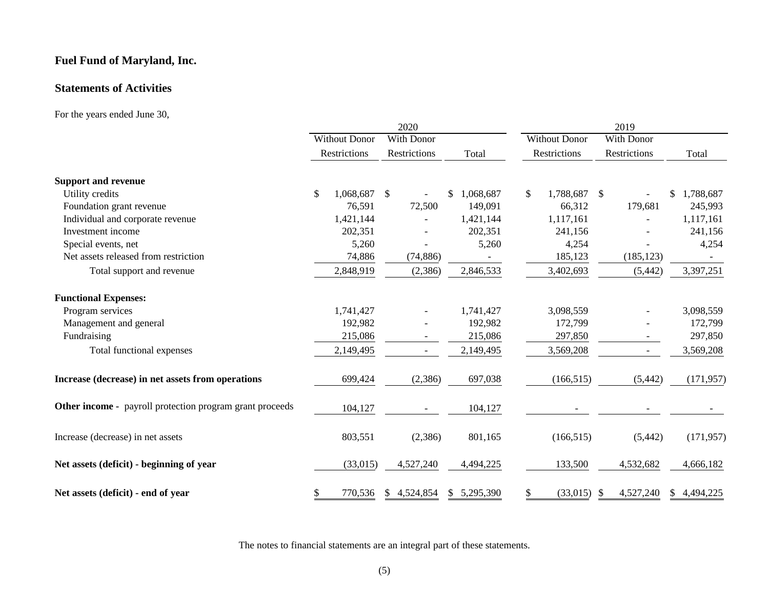# **Statements of Activities**

### For the years ended June 30,

|                                                                 | 2020                 |              |                          |                          | 2019            |                      |               |              |                 |
|-----------------------------------------------------------------|----------------------|--------------|--------------------------|--------------------------|-----------------|----------------------|---------------|--------------|-----------------|
|                                                                 | <b>Without Donor</b> |              | With Donor               |                          |                 | <b>Without Donor</b> |               | With Donor   |                 |
|                                                                 |                      | Restrictions | Restrictions             |                          | Total           |                      | Restrictions  | Restrictions | Total           |
| <b>Support and revenue</b>                                      |                      |              |                          |                          |                 |                      |               |              |                 |
| Utility credits                                                 | \$                   | 1,068,687    | $\mathcal{S}$            |                          | 1,068,687<br>\$ | $\mathbb{S}$         | 1,788,687     | \$           | 1,788,687<br>\$ |
| Foundation grant revenue                                        |                      | 76,591       | 72,500                   |                          | 149,091         |                      | 66,312        | 179,681      | 245,993         |
| Individual and corporate revenue                                |                      | 1,421,144    |                          |                          | 1,421,144       |                      | 1,117,161     |              | 1,117,161       |
| Investment income                                               |                      | 202,351      |                          |                          | 202,351         |                      | 241,156       |              | 241,156         |
| Special events, net                                             |                      | 5,260        |                          |                          | 5,260           |                      | 4,254         |              | 4,254           |
| Net assets released from restriction                            |                      | 74,886       | (74, 886)                |                          |                 |                      | 185,123       | (185, 123)   |                 |
| Total support and revenue                                       |                      | 2,848,919    | (2,386)                  |                          | 2,846,533       |                      | 3,402,693     | (5, 442)     | 3,397,251       |
| <b>Functional Expenses:</b>                                     |                      |              |                          |                          |                 |                      |               |              |                 |
| Program services                                                |                      | 1,741,427    | $\overline{\phantom{0}}$ |                          | 1,741,427       |                      | 3,098,559     |              | 3,098,559       |
| Management and general                                          |                      | 192,982      |                          |                          | 192,982         |                      | 172,799       |              | 172,799         |
| Fundraising                                                     |                      | 215,086      |                          | $\overline{\phantom{0}}$ | 215,086         |                      | 297,850       | $\sim$       | 297,850         |
| Total functional expenses                                       |                      | 2,149,495    |                          | $\overline{\phantom{a}}$ | 2,149,495       |                      | 3,569,208     |              | 3,569,208       |
| Increase (decrease) in net assets from operations               |                      | 699,424      | (2,386)                  |                          | 697,038         |                      | (166, 515)    | (5, 442)     | (171, 957)      |
| <b>Other income -</b> payroll protection program grant proceeds |                      | 104,127      | $\sim$                   |                          | 104,127         |                      |               |              |                 |
| Increase (decrease) in net assets                               |                      | 803,551      | (2,386)                  |                          | 801,165         |                      | (166, 515)    | (5, 442)     | (171, 957)      |
| Net assets (deficit) - beginning of year                        |                      | (33,015)     | 4,527,240                |                          | 4,494,225       |                      | 133,500       | 4,532,682    | 4,666,182       |
| Net assets (deficit) - end of year                              | \$                   | 770,536      | \$4,524,854              |                          | \$ 5,295,390    | \$                   | $(33,015)$ \$ | 4,527,240    | \$4,494,225     |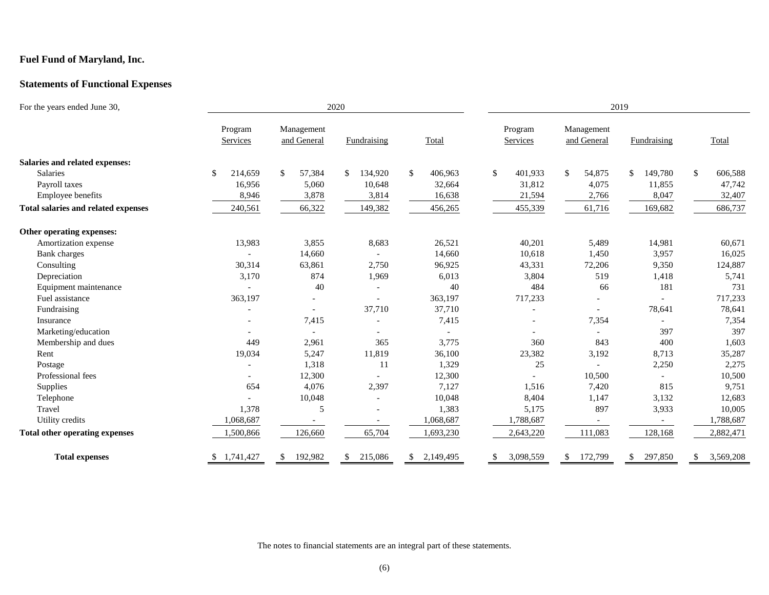### **Statements of Functional Expenses**

| For the years ended June 30,               |                     |                           | 2020                     |               | 2019                |                           |               |               |
|--------------------------------------------|---------------------|---------------------------|--------------------------|---------------|---------------------|---------------------------|---------------|---------------|
|                                            | Program<br>Services | Management<br>and General | Fundraising              | Total         | Program<br>Services | Management<br>and General | Fundraising   | Total         |
| Salaries and related expenses:             |                     |                           |                          |               |                     |                           |               |               |
| Salaries                                   | \$<br>214,659       | 57,384<br>\$              | \$<br>134,920            | \$<br>406,963 | \$<br>401,933       | \$<br>54,875              | 149,780<br>\$ | 606,588<br>\$ |
| Payroll taxes                              | 16,956              | 5,060                     | 10,648                   | 32,664        | 31,812              | 4,075                     | 11,855        | 47,742        |
| Employee benefits                          | 8,946               | 3,878                     | 3,814                    | 16,638        | 21,594              | 2,766                     | 8,047         | 32,407        |
| <b>Total salaries and related expenses</b> | 240,561             | 66,322                    | 149,382                  | 456,265       | 455,339             | 61,716                    | 169,682       | 686,737       |
| Other operating expenses:                  |                     |                           |                          |               |                     |                           |               |               |
| Amortization expense                       | 13,983              | 3,855                     | 8,683                    | 26,521        | 40,201              | 5,489                     | 14,981        | 60,671        |
| <b>Bank</b> charges                        |                     | 14,660                    |                          | 14,660        | 10,618              | 1,450                     | 3,957         | 16,025        |
| Consulting                                 | 30,314              | 63,861                    | 2,750                    | 96,925        | 43,331              | 72,206                    | 9,350         | 124,887       |
| Depreciation                               | 3,170               | 874                       | 1,969                    | 6,013         | 3,804               | 519                       | 1,418         | 5,741         |
| Equipment maintenance                      |                     | 40                        |                          | 40            | 484                 | 66                        | 181           | 731           |
| Fuel assistance                            | 363,197             | $\qquad \qquad -$         |                          | 363,197       | 717,233             |                           |               | 717,233       |
| Fundraising                                |                     | $\overline{\phantom{a}}$  | 37,710                   | 37,710        |                     |                           | 78,641        | 78,641        |
| Insurance                                  |                     | 7,415                     |                          | 7,415         |                     | 7,354                     |               | 7,354         |
| Marketing/education                        |                     | $\overline{\phantom{a}}$  |                          |               |                     |                           | 397           | 397           |
| Membership and dues                        | 449                 | 2,961                     | 365                      | 3,775         | 360                 | 843                       | 400           | 1,603         |
| Rent                                       | 19,034              | 5,247                     | 11,819                   | 36,100        | 23,382              | 3,192                     | 8,713         | 35,287        |
| Postage                                    |                     | 1,318                     | 11                       | 1,329         | 25                  |                           | 2,250         | 2,275         |
| Professional fees                          |                     | 12,300                    |                          | 12,300        |                     | 10,500                    |               | 10,500        |
| Supplies                                   | 654                 | 4.076                     | 2,397                    | 7,127         | 1,516               | 7,420                     | 815           | 9,751         |
| Telephone                                  |                     | 10,048                    | $\overline{\phantom{0}}$ | 10,048        | 8,404               | 1,147                     | 3,132         | 12,683        |
| Travel                                     | 1,378               | 5                         |                          | 1,383         | 5,175               | 897                       | 3,933         | 10,005        |
| Utility credits                            | 1,068,687           | $\overline{\phantom{a}}$  |                          | 1,068,687     | 1,788,687           | $\overline{\phantom{a}}$  |               | 1,788,687     |
| <b>Total other operating expenses</b>      | 1,500,866           | 126,660                   | 65,704                   | 1,693,230     | 2,643,220           | 111,083                   | 128,168       | 2,882,471     |
| <b>Total expenses</b>                      | 1,741,427           | 192,982<br>S              | 215,086<br>\$            | 2,149,495     | 3,098,559<br>\$.    | 172,799                   | 297,850       | 3,569,208     |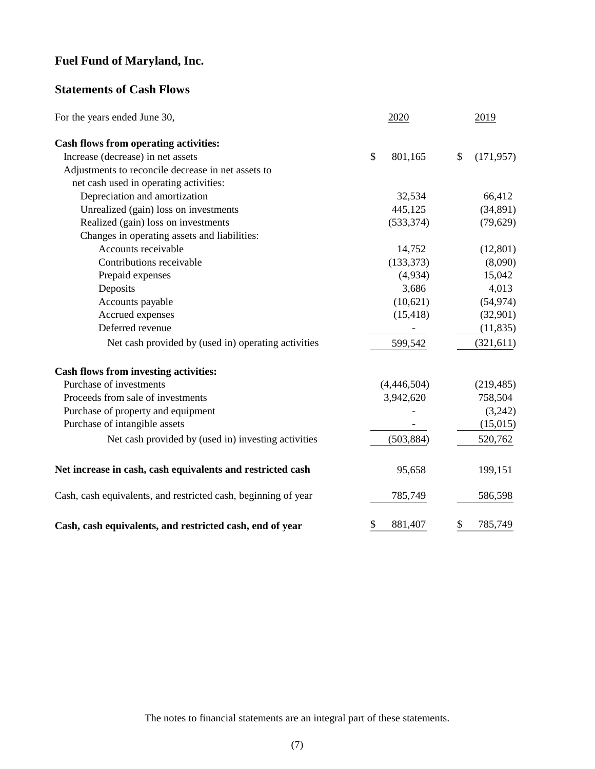# **Statements of Cash Flows**

| For the years ended June 30,                                   | 2020          | 2019             |
|----------------------------------------------------------------|---------------|------------------|
| <b>Cash flows from operating activities:</b>                   |               |                  |
| Increase (decrease) in net assets                              | \$<br>801,165 | \$<br>(171, 957) |
| Adjustments to reconcile decrease in net assets to             |               |                  |
| net cash used in operating activities:                         |               |                  |
| Depreciation and amortization                                  | 32,534        | 66,412           |
| Unrealized (gain) loss on investments                          | 445,125       | (34,891)         |
| Realized (gain) loss on investments                            | (533, 374)    | (79, 629)        |
| Changes in operating assets and liabilities:                   |               |                  |
| Accounts receivable                                            | 14,752        | (12, 801)        |
| Contributions receivable                                       | (133, 373)    | (8,090)          |
| Prepaid expenses                                               | (4,934)       | 15,042           |
| Deposits                                                       | 3,686         | 4,013            |
| Accounts payable                                               | (10,621)      | (54, 974)        |
| Accrued expenses                                               | (15, 418)     | (32,901)         |
| Deferred revenue                                               |               | (11, 835)        |
| Net cash provided by (used in) operating activities            | 599,542       | (321, 611)       |
| <b>Cash flows from investing activities:</b>                   |               |                  |
| Purchase of investments                                        | (4,446,504)   | (219, 485)       |
| Proceeds from sale of investments                              | 3,942,620     | 758,504          |
| Purchase of property and equipment                             |               | (3,242)          |
| Purchase of intangible assets                                  |               | (15, 015)        |
| Net cash provided by (used in) investing activities            | (503, 884)    | 520,762          |
| Net increase in cash, cash equivalents and restricted cash     | 95,658        | 199,151          |
| Cash, cash equivalents, and restricted cash, beginning of year | 785,749       | 586,598          |
| Cash, cash equivalents, and restricted cash, end of year       | \$<br>881,407 | \$<br>785,749    |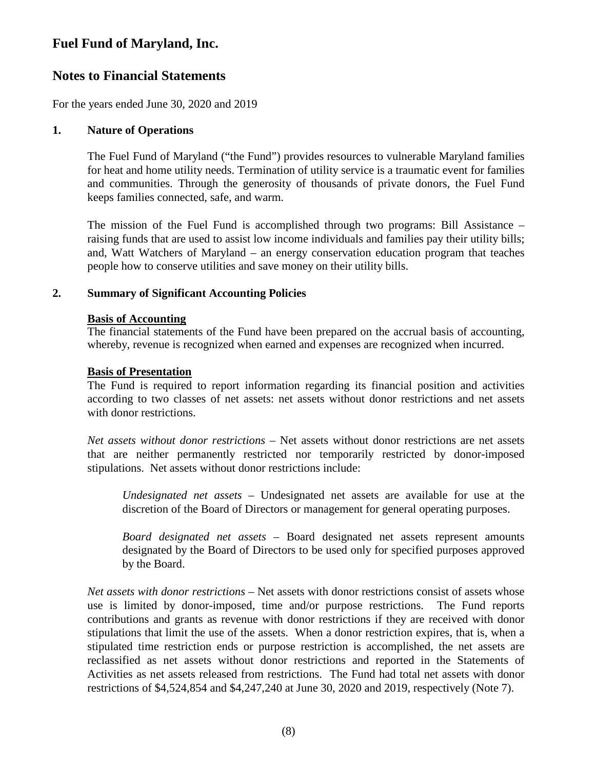# **Notes to Financial Statements**

For the years ended June 30, 2020 and 2019

#### **1. Nature of Operations**

The Fuel Fund of Maryland ("the Fund") provides resources to vulnerable Maryland families for heat and home utility needs. Termination of utility service is a traumatic event for families and communities. Through the generosity of thousands of private donors, the Fuel Fund keeps families connected, safe, and warm.

The mission of the Fuel Fund is accomplished through two programs: Bill Assistance – raising funds that are used to assist low income individuals and families pay their utility bills; and, Watt Watchers of Maryland – an energy conservation education program that teaches people how to conserve utilities and save money on their utility bills.

#### **2. Summary of Significant Accounting Policies**

#### **Basis of Accounting**

The financial statements of the Fund have been prepared on the accrual basis of accounting, whereby, revenue is recognized when earned and expenses are recognized when incurred.

#### **Basis of Presentation**

The Fund is required to report information regarding its financial position and activities according to two classes of net assets: net assets without donor restrictions and net assets with donor restrictions.

*Net assets without donor restrictions* – Net assets without donor restrictions are net assets that are neither permanently restricted nor temporarily restricted by donor-imposed stipulations. Net assets without donor restrictions include:

*Undesignated net assets* – Undesignated net assets are available for use at the discretion of the Board of Directors or management for general operating purposes.

*Board designated net assets* – Board designated net assets represent amounts designated by the Board of Directors to be used only for specified purposes approved by the Board.

*Net assets with donor restrictions* – Net assets with donor restrictions consist of assets whose use is limited by donor-imposed, time and/or purpose restrictions. The Fund reports contributions and grants as revenue with donor restrictions if they are received with donor stipulations that limit the use of the assets. When a donor restriction expires, that is, when a stipulated time restriction ends or purpose restriction is accomplished, the net assets are reclassified as net assets without donor restrictions and reported in the Statements of Activities as net assets released from restrictions. The Fund had total net assets with donor restrictions of \$4,524,854 and \$4,247,240 at June 30, 2020 and 2019, respectively (Note 7).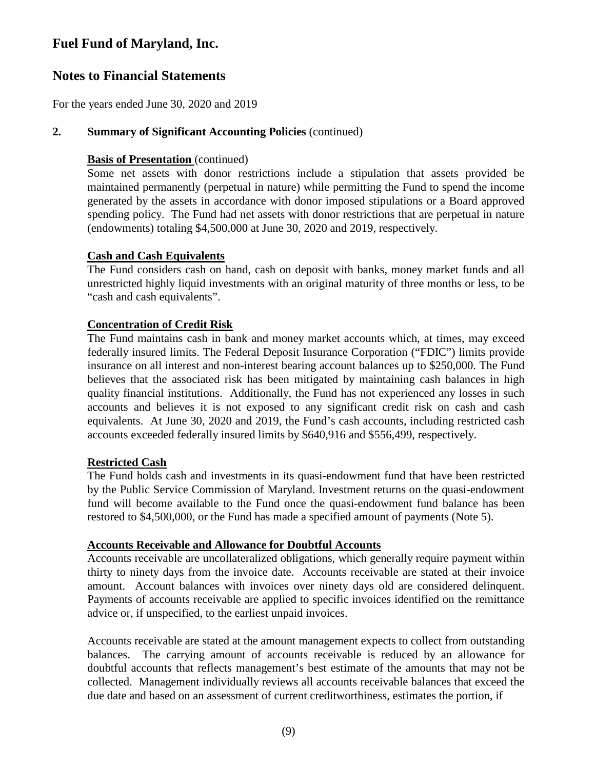# **Notes to Financial Statements**

For the years ended June 30, 2020 and 2019

### **2. Summary of Significant Accounting Policies** (continued)

### **Basis of Presentation** (continued)

Some net assets with donor restrictions include a stipulation that assets provided be maintained permanently (perpetual in nature) while permitting the Fund to spend the income generated by the assets in accordance with donor imposed stipulations or a Board approved spending policy. The Fund had net assets with donor restrictions that are perpetual in nature (endowments) totaling \$4,500,000 at June 30, 2020 and 2019, respectively.

### **Cash and Cash Equivalents**

The Fund considers cash on hand, cash on deposit with banks, money market funds and all unrestricted highly liquid investments with an original maturity of three months or less, to be "cash and cash equivalents".

### **Concentration of Credit Risk**

The Fund maintains cash in bank and money market accounts which, at times, may exceed federally insured limits. The Federal Deposit Insurance Corporation ("FDIC") limits provide insurance on all interest and non-interest bearing account balances up to \$250,000. The Fund believes that the associated risk has been mitigated by maintaining cash balances in high quality financial institutions. Additionally, the Fund has not experienced any losses in such accounts and believes it is not exposed to any significant credit risk on cash and cash equivalents. At June 30, 2020 and 2019, the Fund's cash accounts, including restricted cash accounts exceeded federally insured limits by \$640,916 and \$556,499, respectively.

#### **Restricted Cash**

The Fund holds cash and investments in its quasi-endowment fund that have been restricted by the Public Service Commission of Maryland. Investment returns on the quasi-endowment fund will become available to the Fund once the quasi-endowment fund balance has been restored to \$4,500,000, or the Fund has made a specified amount of payments (Note 5).

### **Accounts Receivable and Allowance for Doubtful Accounts**

Accounts receivable are uncollateralized obligations, which generally require payment within thirty to ninety days from the invoice date. Accounts receivable are stated at their invoice amount. Account balances with invoices over ninety days old are considered delinquent. Payments of accounts receivable are applied to specific invoices identified on the remittance advice or, if unspecified, to the earliest unpaid invoices.

Accounts receivable are stated at the amount management expects to collect from outstanding balances. The carrying amount of accounts receivable is reduced by an allowance for doubtful accounts that reflects management's best estimate of the amounts that may not be collected. Management individually reviews all accounts receivable balances that exceed the due date and based on an assessment of current creditworthiness, estimates the portion, if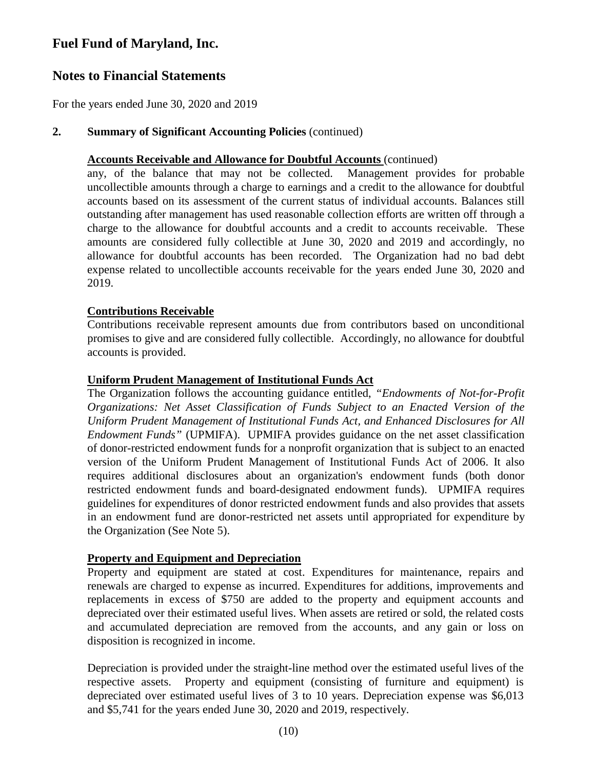# **Notes to Financial Statements**

For the years ended June 30, 2020 and 2019

## **2. Summary of Significant Accounting Policies** (continued)

### **Accounts Receivable and Allowance for Doubtful Accounts** (continued)

any, of the balance that may not be collected. Management provides for probable uncollectible amounts through a charge to earnings and a credit to the allowance for doubtful accounts based on its assessment of the current status of individual accounts. Balances still outstanding after management has used reasonable collection efforts are written off through a charge to the allowance for doubtful accounts and a credit to accounts receivable. These amounts are considered fully collectible at June 30, 2020 and 2019 and accordingly, no allowance for doubtful accounts has been recorded. The Organization had no bad debt expense related to uncollectible accounts receivable for the years ended June 30, 2020 and 2019.

## **Contributions Receivable**

Contributions receivable represent amounts due from contributors based on unconditional promises to give and are considered fully collectible. Accordingly, no allowance for doubtful accounts is provided.

## **Uniform Prudent Management of Institutional Funds Act**

The Organization follows the accounting guidance entitled, *"Endowments of Not-for-Profit Organizations: Net Asset Classification of Funds Subject to an Enacted Version of the Uniform Prudent Management of Institutional Funds Act, and Enhanced Disclosures for All Endowment Funds"* (UPMIFA). UPMIFA provides guidance on the net asset classification of donor-restricted endowment funds for a nonprofit organization that is subject to an enacted version of the Uniform Prudent Management of Institutional Funds Act of 2006. It also requires additional disclosures about an organization's endowment funds (both donor restricted endowment funds and board-designated endowment funds). UPMIFA requires guidelines for expenditures of donor restricted endowment funds and also provides that assets in an endowment fund are donor-restricted net assets until appropriated for expenditure by the Organization (See Note 5).

## **Property and Equipment and Depreciation**

Property and equipment are stated at cost. Expenditures for maintenance, repairs and renewals are charged to expense as incurred. Expenditures for additions, improvements and replacements in excess of \$750 are added to the property and equipment accounts and depreciated over their estimated useful lives. When assets are retired or sold, the related costs and accumulated depreciation are removed from the accounts, and any gain or loss on disposition is recognized in income.

Depreciation is provided under the straight-line method over the estimated useful lives of the respective assets. Property and equipment (consisting of furniture and equipment) is depreciated over estimated useful lives of 3 to 10 years. Depreciation expense was \$6,013 and \$5,741 for the years ended June 30, 2020 and 2019, respectively.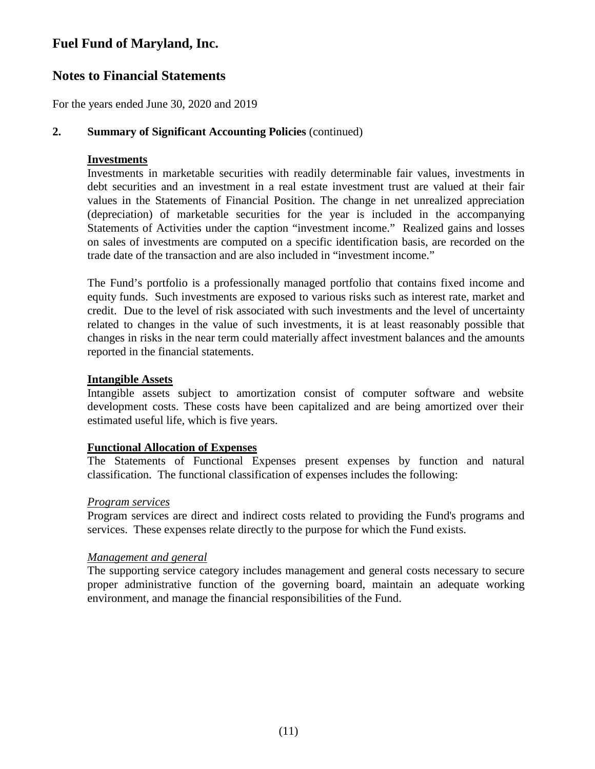# **Notes to Financial Statements**

For the years ended June 30, 2020 and 2019

### **2. Summary of Significant Accounting Policies** (continued)

### **Investments**

Investments in marketable securities with readily determinable fair values, investments in debt securities and an investment in a real estate investment trust are valued at their fair values in the Statements of Financial Position. The change in net unrealized appreciation (depreciation) of marketable securities for the year is included in the accompanying Statements of Activities under the caption "investment income." Realized gains and losses on sales of investments are computed on a specific identification basis, are recorded on the trade date of the transaction and are also included in "investment income."

The Fund's portfolio is a professionally managed portfolio that contains fixed income and equity funds. Such investments are exposed to various risks such as interest rate, market and credit. Due to the level of risk associated with such investments and the level of uncertainty related to changes in the value of such investments, it is at least reasonably possible that changes in risks in the near term could materially affect investment balances and the amounts reported in the financial statements.

### **Intangible Assets**

Intangible assets subject to amortization consist of computer software and website development costs. These costs have been capitalized and are being amortized over their estimated useful life, which is five years.

#### **Functional Allocation of Expenses**

The Statements of Functional Expenses present expenses by function and natural classification. The functional classification of expenses includes the following:

#### *Program services*

Program services are direct and indirect costs related to providing the Fund's programs and services. These expenses relate directly to the purpose for which the Fund exists.

#### *Management and general*

The supporting service category includes management and general costs necessary to secure proper administrative function of the governing board, maintain an adequate working environment, and manage the financial responsibilities of the Fund.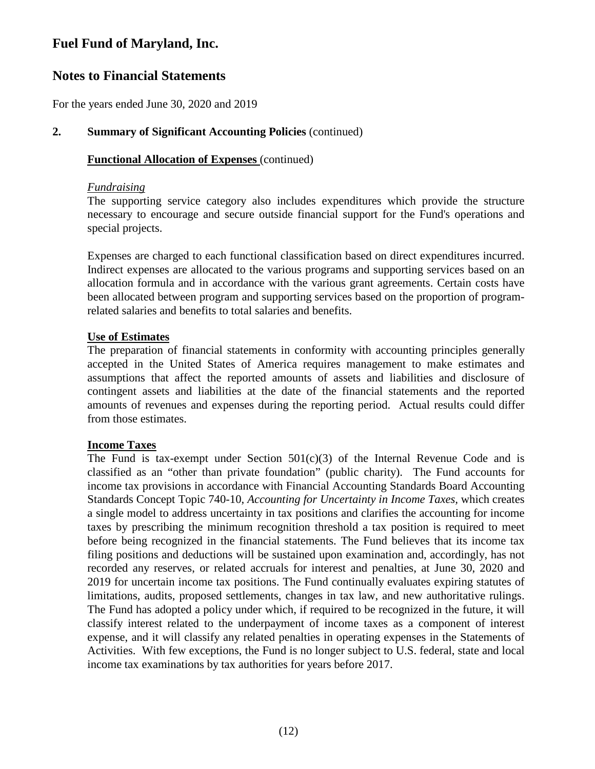# **Notes to Financial Statements**

For the years ended June 30, 2020 and 2019

# **2. Summary of Significant Accounting Policies** (continued)

## **Functional Allocation of Expenses** (continued)

## *Fundraising*

The supporting service category also includes expenditures which provide the structure necessary to encourage and secure outside financial support for the Fund's operations and special projects.

Expenses are charged to each functional classification based on direct expenditures incurred. Indirect expenses are allocated to the various programs and supporting services based on an allocation formula and in accordance with the various grant agreements. Certain costs have been allocated between program and supporting services based on the proportion of programrelated salaries and benefits to total salaries and benefits.

## **Use of Estimates**

The preparation of financial statements in conformity with accounting principles generally accepted in the United States of America requires management to make estimates and assumptions that affect the reported amounts of assets and liabilities and disclosure of contingent assets and liabilities at the date of the financial statements and the reported amounts of revenues and expenses during the reporting period. Actual results could differ from those estimates.

## **Income Taxes**

The Fund is tax-exempt under Section  $501(c)(3)$  of the Internal Revenue Code and is classified as an "other than private foundation" (public charity). The Fund accounts for income tax provisions in accordance with Financial Accounting Standards Board Accounting Standards Concept Topic 740-10, *Accounting for Uncertainty in Income Taxes,* which creates a single model to address uncertainty in tax positions and clarifies the accounting for income taxes by prescribing the minimum recognition threshold a tax position is required to meet before being recognized in the financial statements. The Fund believes that its income tax filing positions and deductions will be sustained upon examination and, accordingly, has not recorded any reserves, or related accruals for interest and penalties, at June 30, 2020 and 2019 for uncertain income tax positions. The Fund continually evaluates expiring statutes of limitations, audits, proposed settlements, changes in tax law, and new authoritative rulings. The Fund has adopted a policy under which, if required to be recognized in the future, it will classify interest related to the underpayment of income taxes as a component of interest expense, and it will classify any related penalties in operating expenses in the Statements of Activities. With few exceptions, the Fund is no longer subject to U.S. federal, state and local income tax examinations by tax authorities for years before 2017.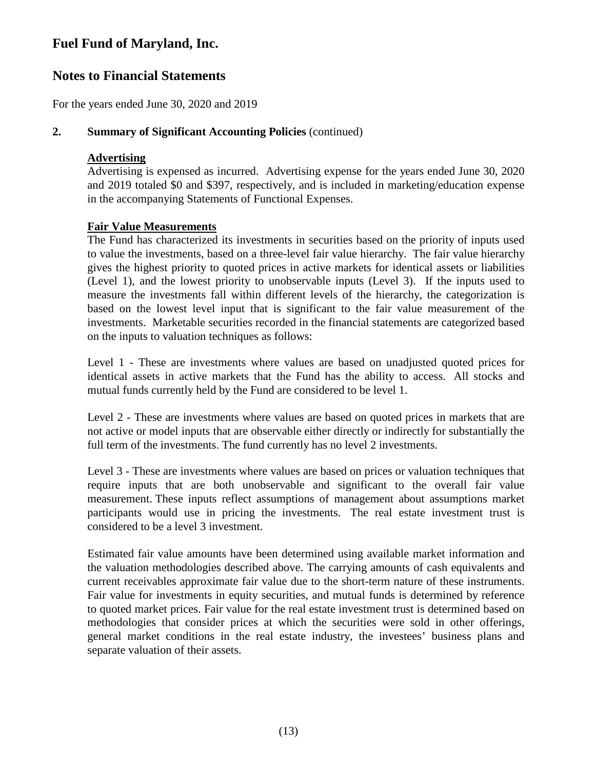# **Notes to Financial Statements**

For the years ended June 30, 2020 and 2019

### **2. Summary of Significant Accounting Policies** (continued)

# **Advertising**

Advertising is expensed as incurred. Advertising expense for the years ended June 30, 2020 and 2019 totaled \$0 and \$397, respectively, and is included in marketing/education expense in the accompanying Statements of Functional Expenses.

### **Fair Value Measurements**

The Fund has characterized its investments in securities based on the priority of inputs used to value the investments, based on a three-level fair value hierarchy. The fair value hierarchy gives the highest priority to quoted prices in active markets for identical assets or liabilities (Level 1), and the lowest priority to unobservable inputs (Level 3). If the inputs used to measure the investments fall within different levels of the hierarchy, the categorization is based on the lowest level input that is significant to the fair value measurement of the investments. Marketable securities recorded in the financial statements are categorized based on the inputs to valuation techniques as follows:

Level 1 - These are investments where values are based on unadjusted quoted prices for identical assets in active markets that the Fund has the ability to access. All stocks and mutual funds currently held by the Fund are considered to be level 1.

Level 2 - These are investments where values are based on quoted prices in markets that are not active or model inputs that are observable either directly or indirectly for substantially the full term of the investments. The fund currently has no level 2 investments.

Level 3 - These are investments where values are based on prices or valuation techniques that require inputs that are both unobservable and significant to the overall fair value measurement. These inputs reflect assumptions of management about assumptions market participants would use in pricing the investments. The real estate investment trust is considered to be a level 3 investment.

Estimated fair value amounts have been determined using available market information and the valuation methodologies described above. The carrying amounts of cash equivalents and current receivables approximate fair value due to the short-term nature of these instruments. Fair value for investments in equity securities, and mutual funds is determined by reference to quoted market prices. Fair value for the real estate investment trust is determined based on methodologies that consider prices at which the securities were sold in other offerings, general market conditions in the real estate industry, the investees' business plans and separate valuation of their assets.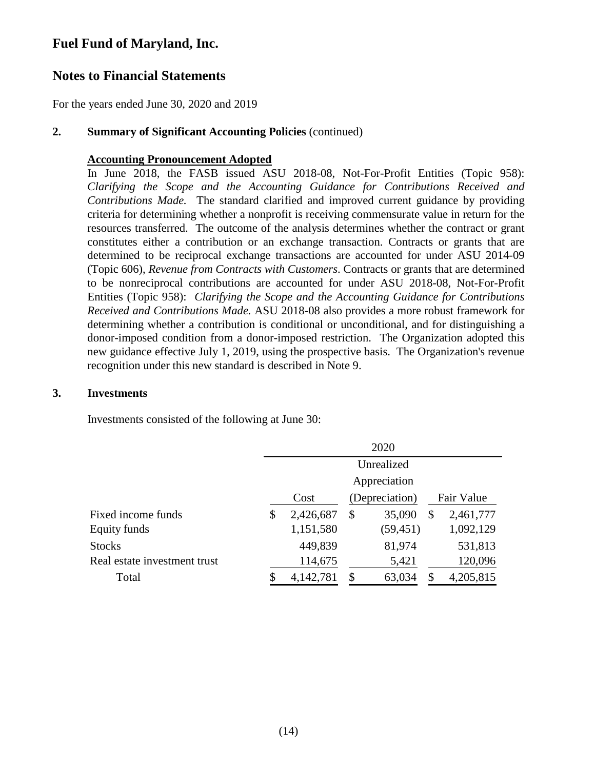# **Notes to Financial Statements**

For the years ended June 30, 2020 and 2019

### **2. Summary of Significant Accounting Policies** (continued)

### **Accounting Pronouncement Adopted**

In June 2018, the FASB issued ASU 2018-08, Not-For-Profit Entities (Topic 958): *Clarifying the Scope and the Accounting Guidance for Contributions Received and Contributions Made.* The standard clarified and improved current guidance by providing criteria for determining whether a nonprofit is receiving commensurate value in return for the resources transferred. The outcome of the analysis determines whether the contract or grant constitutes either a contribution or an exchange transaction. Contracts or grants that are determined to be reciprocal exchange transactions are accounted for under ASU 2014-09 (Topic 606), *Revenue from Contracts with Customers*. Contracts or grants that are determined to be nonreciprocal contributions are accounted for under ASU 2018-08, Not-For-Profit Entities (Topic 958): *Clarifying the Scope and the Accounting Guidance for Contributions Received and Contributions Made.* ASU 2018-08 also provides a more robust framework for determining whether a contribution is conditional or unconditional, and for distinguishing a donor-imposed condition from a donor-imposed restriction. The Organization adopted this new guidance effective July 1, 2019, using the prospective basis. The Organization's revenue recognition under this new standard is described in Note 9.

#### **3. Investments**

Investments consisted of the following at June 30:

|                              | 2020            |    |                |            |           |  |  |
|------------------------------|-----------------|----|----------------|------------|-----------|--|--|
|                              | Unrealized      |    |                |            |           |  |  |
|                              | Appreciation    |    |                |            |           |  |  |
|                              | Cost            |    | (Depreciation) | Fair Value |           |  |  |
| Fixed income funds           | \$<br>2,426,687 | \$ | 35,090         | \$         | 2,461,777 |  |  |
| Equity funds                 | 1,151,580       |    | (59, 451)      |            | 1,092,129 |  |  |
| <b>Stocks</b>                | 449,839         |    | 81,974         |            | 531,813   |  |  |
| Real estate investment trust | 114,675         |    | 5,421          |            | 120,096   |  |  |
| Total                        | 4,142,781       | \$ | 63,034         | \$         | 4,205,815 |  |  |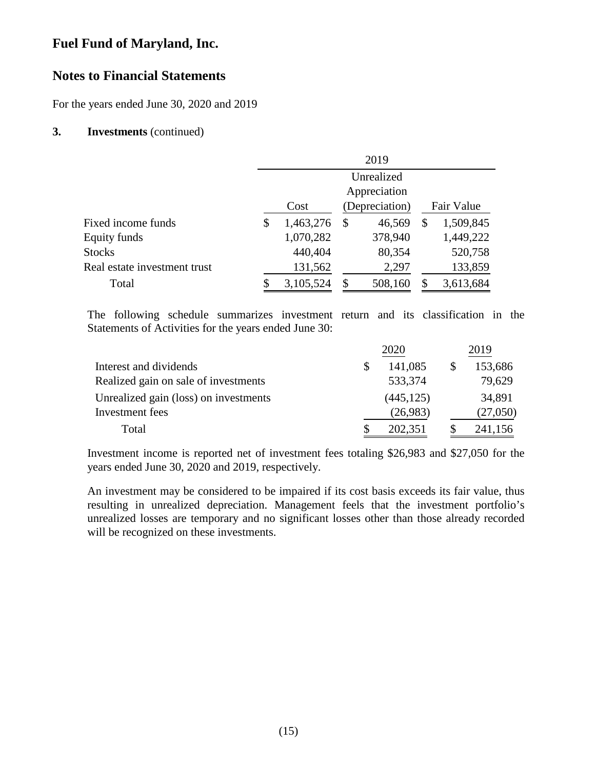# **Notes to Financial Statements**

For the years ended June 30, 2020 and 2019

### **3. Investments** (continued)

|                              | 2019            |   |                |    |            |  |  |
|------------------------------|-----------------|---|----------------|----|------------|--|--|
|                              | Unrealized      |   |                |    |            |  |  |
|                              | Appreciation    |   |                |    |            |  |  |
|                              | Cost            |   | (Depreciation) |    | Fair Value |  |  |
| Fixed income funds           | \$<br>1,463,276 | S | 46,569         | \$ | 1,509,845  |  |  |
| <b>Equity funds</b>          | 1,070,282       |   | 378,940        |    | 1,449,222  |  |  |
| <b>Stocks</b>                | 440,404         |   | 80,354         |    | 520,758    |  |  |
| Real estate investment trust | 131,562         |   | 2,297          |    | 133,859    |  |  |
| Total                        | 3,105,524       |   | 508,160        |    | 3,613,684  |  |  |

The following schedule summarizes investment return and its classification in the Statements of Activities for the years ended June 30:

|                                       | 2020       | 2019     |
|---------------------------------------|------------|----------|
| Interest and dividends                | 141,085    | 153,686  |
| Realized gain on sale of investments  | 533,374    | 79,629   |
| Unrealized gain (loss) on investments | (445, 125) | 34,891   |
| Investment fees                       | (26,983)   | (27,050) |
| Total                                 | 202,351    | 241,156  |

Investment income is reported net of investment fees totaling \$26,983 and \$27,050 for the years ended June 30, 2020 and 2019, respectively.

An investment may be considered to be impaired if its cost basis exceeds its fair value, thus resulting in unrealized depreciation. Management feels that the investment portfolio's unrealized losses are temporary and no significant losses other than those already recorded will be recognized on these investments.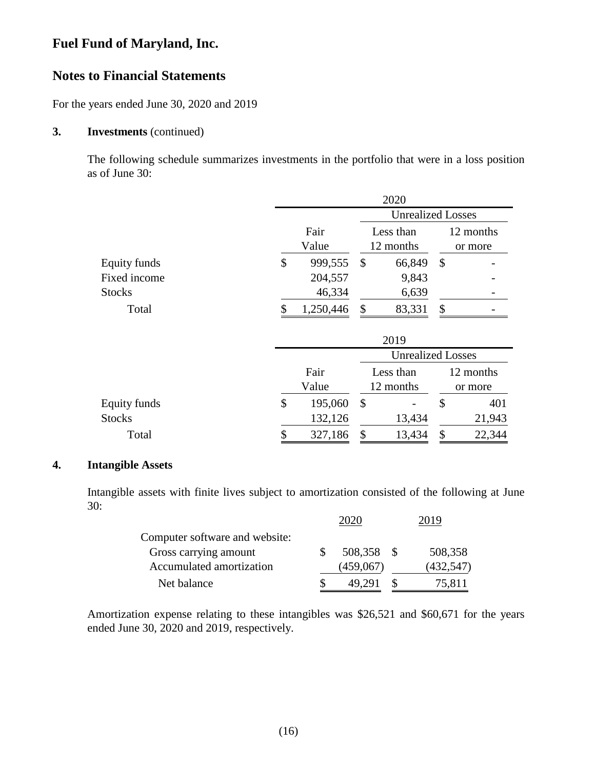# **Notes to Financial Statements**

For the years ended June 30, 2020 and 2019

### **3. Investments** (continued)

The following schedule summarizes investments in the portfolio that were in a loss position as of June 30:

|               |    | 2020                     |    |                          |                           |           |  |  |
|---------------|----|--------------------------|----|--------------------------|---------------------------|-----------|--|--|
|               |    | <b>Unrealized Losses</b> |    |                          |                           |           |  |  |
|               |    | Fair                     |    | Less than                |                           | 12 months |  |  |
|               |    | Value                    |    | 12 months                |                           | or more   |  |  |
| Equity funds  | \$ | 999,555                  | \$ | 66,849                   | $\boldsymbol{\mathsf{S}}$ |           |  |  |
| Fixed income  |    | 204,557                  |    | 9,843                    |                           |           |  |  |
| <b>Stocks</b> |    | 46,334                   |    | 6,639                    |                           |           |  |  |
| Total         | \$ | 1,250,446                | \$ | 83,331                   | \$                        |           |  |  |
|               |    |                          |    | 2019                     |                           |           |  |  |
|               |    |                          |    | <b>Unrealized Losses</b> |                           |           |  |  |
| Fair          |    |                          |    | Less than                | 12 months                 |           |  |  |
|               |    | Value                    |    | 12 months                |                           | or more   |  |  |
| Equity funds  | \$ | 195,060                  | \$ |                          | \$                        | 401       |  |  |
| <b>Stocks</b> |    | 132,126                  |    | 13,434                   |                           | 21,943    |  |  |
| Total         | \$ | 327,186                  | \$ | 13,434                   | \$                        | 22,344    |  |  |

### **4. Intangible Assets**

Intangible assets with finite lives subject to amortization consisted of the following at June 30:

| Computer software and website: |           |      |           |
|--------------------------------|-----------|------|-----------|
| Gross carrying amount          | 508,358   | - \$ | 508,358   |
| Accumulated amortization       | (459,067) |      | (432,547) |
| Net balance                    | 49.291    |      | 75,811    |

Amortization expense relating to these intangibles was \$26,521 and \$60,671 for the years ended June 30, 2020 and 2019, respectively.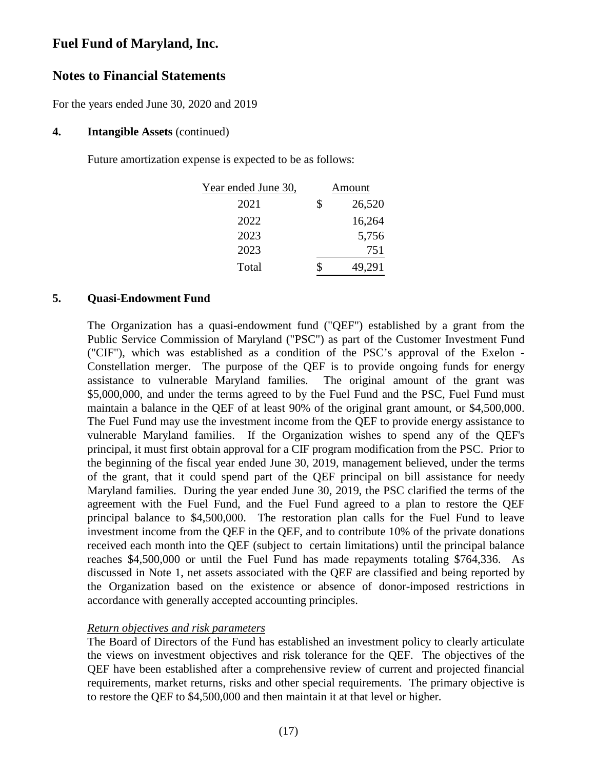# **Notes to Financial Statements**

For the years ended June 30, 2020 and 2019

### **4. Intangible Assets** (continued)

Future amortization expense is expected to be as follows:

| Year ended June 30, | Amount       |
|---------------------|--------------|
| 2021                | \$<br>26,520 |
| 2022                | 16,264       |
| 2023                | 5,756        |
| 2023                | 751          |
| Total               | 49,291       |

### **5. Quasi-Endowment Fund**

The Organization has a quasi-endowment fund ("QEF") established by a grant from the Public Service Commission of Maryland ("PSC") as part of the Customer Investment Fund ("CIF"), which was established as a condition of the PSC's approval of the Exelon - Constellation merger. The purpose of the QEF is to provide ongoing funds for energy assistance to vulnerable Maryland families. The original amount of the grant was \$5,000,000, and under the terms agreed to by the Fuel Fund and the PSC, Fuel Fund must maintain a balance in the QEF of at least 90% of the original grant amount, or \$4,500,000. The Fuel Fund may use the investment income from the QEF to provide energy assistance to vulnerable Maryland families. If the Organization wishes to spend any of the QEF's principal, it must first obtain approval for a CIF program modification from the PSC. Prior to the beginning of the fiscal year ended June 30, 2019, management believed, under the terms of the grant, that it could spend part of the QEF principal on bill assistance for needy Maryland families. During the year ended June 30, 2019, the PSC clarified the terms of the agreement with the Fuel Fund, and the Fuel Fund agreed to a plan to restore the QEF principal balance to \$4,500,000. The restoration plan calls for the Fuel Fund to leave investment income from the QEF in the QEF, and to contribute 10% of the private donations received each month into the QEF (subject to certain limitations) until the principal balance reaches \$4,500,000 or until the Fuel Fund has made repayments totaling \$764,336. As discussed in Note 1, net assets associated with the QEF are classified and being reported by the Organization based on the existence or absence of donor-imposed restrictions in accordance with generally accepted accounting principles.

## *Return objectives and risk parameters*

The Board of Directors of the Fund has established an investment policy to clearly articulate the views on investment objectives and risk tolerance for the QEF. The objectives of the QEF have been established after a comprehensive review of current and projected financial requirements, market returns, risks and other special requirements. The primary objective is to restore the QEF to \$4,500,000 and then maintain it at that level or higher.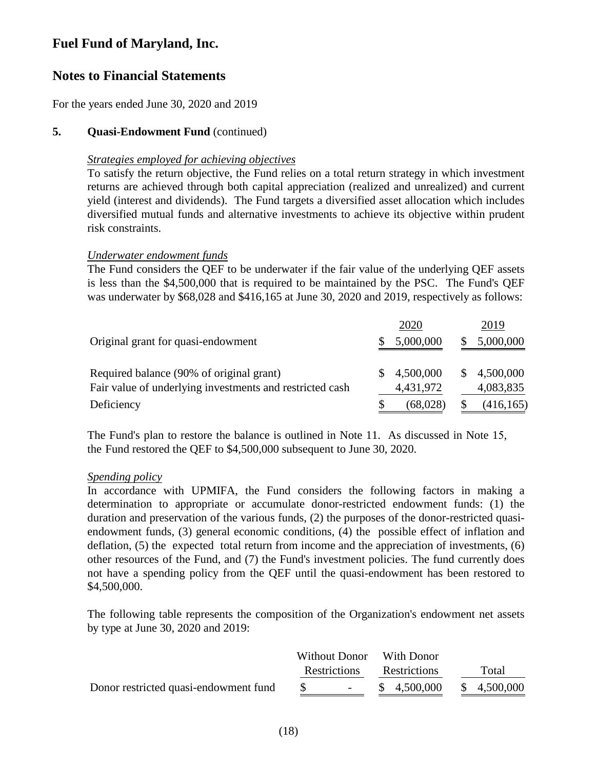# **Notes to Financial Statements**

For the years ended June 30, 2020 and 2019

# **5. Quasi-Endowment Fund** (continued)

### *Strategies employed for achieving objectives*

To satisfy the return objective, the Fund relies on a total return strategy in which investment returns are achieved through both capital appreciation (realized and unrealized) and current yield (interest and dividends). The Fund targets a diversified asset allocation which includes diversified mutual funds and alternative investments to achieve its objective within prudent risk constraints.

### *Underwater endowment funds*

The Fund considers the QEF to be underwater if the fair value of the underlying QEF assets is less than the \$4,500,000 that is required to be maintained by the PSC. The Fund's QEF was underwater by \$68,028 and \$416,165 at June 30, 2020 and 2019, respectively as follows:

|                                                          | 2020      | 2019            |
|----------------------------------------------------------|-----------|-----------------|
| Original grant for quasi-endowment                       | 5,000,000 | 5,000,000       |
|                                                          |           |                 |
| Required balance (90% of original grant)                 | 4,500,000 | 4,500,000<br>S. |
| Fair value of underlying investments and restricted cash | 4,431,972 | 4,083,835       |
| Deficiency                                               | (68,028)  | (416, 165)      |

The Fund's plan to restore the balance is outlined in Note 11. As discussed in Note 15, the Fund restored the QEF to \$4,500,000 subsequent to June 30, 2020.

## *Spending policy*

In accordance with UPMIFA, the Fund considers the following factors in making a determination to appropriate or accumulate donor-restricted endowment funds: (1) the duration and preservation of the various funds, (2) the purposes of the donor-restricted quasiendowment funds, (3) general economic conditions, (4) the possible effect of inflation and deflation, (5) the expected total return from income and the appreciation of investments, (6) other resources of the Fund, and (7) the Fund's investment policies. The fund currently does not have a spending policy from the QEF until the quasi-endowment has been restored to \$4,500,000.

The following table represents the composition of the Organization's endowment net assets by type at June 30, 2020 and 2019:

|                                       | Without Donor With Donor |                     |             |
|---------------------------------------|--------------------------|---------------------|-------------|
|                                       | Restrictions             | <b>Restrictions</b> | Total       |
| Donor restricted quasi-endowment fund |                          | \$4,500,000         | \$4,500,000 |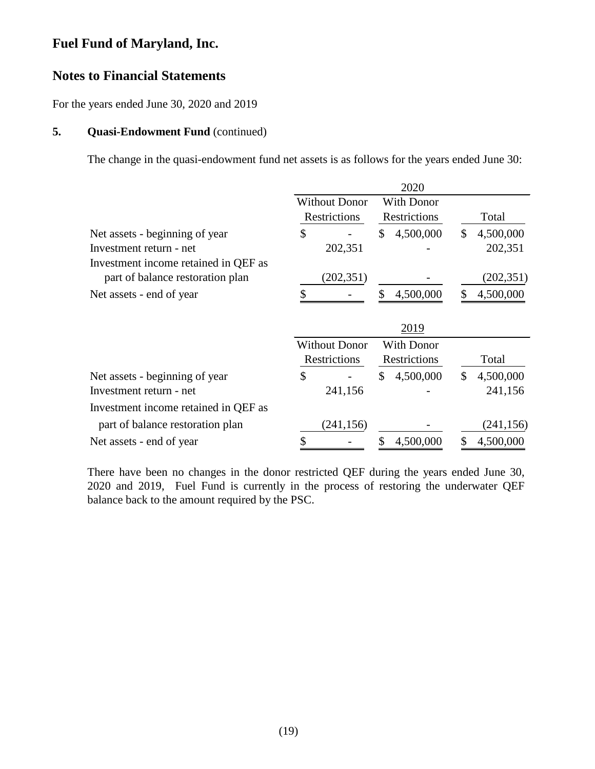# **Notes to Financial Statements**

For the years ended June 30, 2020 and 2019

# **5. Quasi-Endowment Fund** (continued)

The change in the quasi-endowment fund net assets is as follows for the years ended June 30:

|                                      |                      | 2020                |                 |
|--------------------------------------|----------------------|---------------------|-----------------|
|                                      | <b>Without Donor</b> | <b>With Donor</b>   |                 |
|                                      | Restrictions         | <b>Restrictions</b> | Total           |
| Net assets - beginning of year       | \$                   | \$<br>4,500,000     | \$<br>4,500,000 |
| Investment return - net              | 202,351              |                     | 202,351         |
| Investment income retained in QEF as |                      |                     |                 |
| part of balance restoration plan     | (202, 351)           |                     | (202, 351)      |
| Net assets - end of year             | \$                   | 4,500,000           | 4,500,000<br>\$ |
|                                      |                      |                     |                 |
|                                      |                      |                     |                 |
|                                      |                      | 2019                |                 |
|                                      | <b>Without Donor</b> | With Donor          |                 |
|                                      | Restrictions         | Restrictions        | Total           |
| Net assets - beginning of year       | \$                   | \$<br>4,500,000     | \$<br>4,500,000 |
| Investment return - net              | 241,156              |                     | 241,156         |
| Investment income retained in QEF as |                      |                     |                 |
| part of balance restoration plan     | (241, 156)           |                     | (241, 156)      |

There have been no changes in the donor restricted QEF during the years ended June 30, 2020 and 2019, Fuel Fund is currently in the process of restoring the underwater QEF balance back to the amount required by the PSC.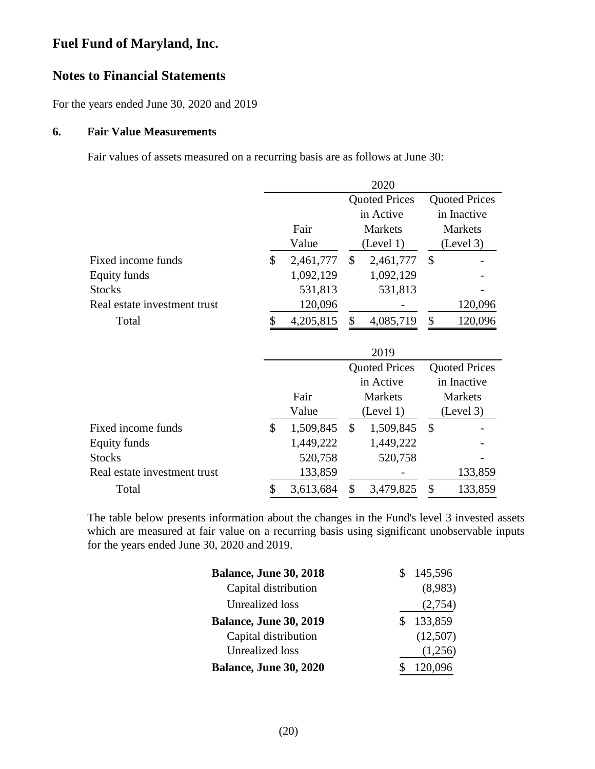# **Notes to Financial Statements**

For the years ended June 30, 2020 and 2019

#### **6. Fair Value Measurements**

Fair values of assets measured on a recurring basis are as follows at June 30:

|                              | 2020          |           |                                              |                      |                |                      |
|------------------------------|---------------|-----------|----------------------------------------------|----------------------|----------------|----------------------|
|                              |               |           |                                              | <b>Quoted Prices</b> |                | <b>Quoted Prices</b> |
|                              |               |           |                                              | in Active            | in Inactive    |                      |
|                              |               | Fair      |                                              | <b>Markets</b>       | <b>Markets</b> |                      |
|                              |               | Value     | (Level 1)                                    |                      | (Level 3)      |                      |
| Fixed income funds           | $\mathcal{S}$ | 2,461,777 | $\mathcal{S}$                                | 2,461,777            | $\mathcal{S}$  |                      |
| Equity funds                 |               | 1,092,129 |                                              | 1,092,129            |                |                      |
| <b>Stocks</b>                |               | 531,813   |                                              | 531,813              |                |                      |
| Real estate investment trust |               | 120,096   |                                              |                      |                | 120,096              |
| Total                        |               | 4,205,815 | \$                                           | 4,085,719            | \$             | 120,096              |
|                              |               |           |                                              |                      |                |                      |
|                              |               |           | 2019                                         |                      |                |                      |
|                              |               |           | <b>Quoted Prices</b><br><b>Quoted Prices</b> |                      |                |                      |
|                              |               |           | in Active                                    |                      |                | in Inactive          |
|                              |               | Fair      | Markets                                      |                      | Markets        |                      |
|                              |               | Value     | (Level 1)                                    |                      | (Level 3)      |                      |
| Fixed income funds           | \$            | 1,509,845 | \$                                           | 1,509,845            | \$             |                      |
| Equity funds                 |               | 1,449,222 |                                              | 1,449,222            |                |                      |
| <b>Stocks</b>                |               | 520,758   |                                              | 520,758              |                |                      |
| Real estate investment trust |               | 133,859   |                                              |                      |                | 133,859              |
| Total                        | \$            | 3,613,684 | \$                                           | 3,479,825            | \$             | 133,859              |

The table below presents information about the changes in the Fund's level 3 invested assets which are measured at fair value on a recurring basis using significant unobservable inputs for the years ended June 30, 2020 and 2019.

| <b>Balance, June 30, 2018</b> | 145,596  |
|-------------------------------|----------|
| Capital distribution          | (8,983)  |
| Unrealized loss               | (2,754)  |
| <b>Balance, June 30, 2019</b> | 133,859  |
| Capital distribution          | (12,507) |
| <b>Unrealized loss</b>        | (1,256)  |
| <b>Balance, June 30, 2020</b> | 120,096  |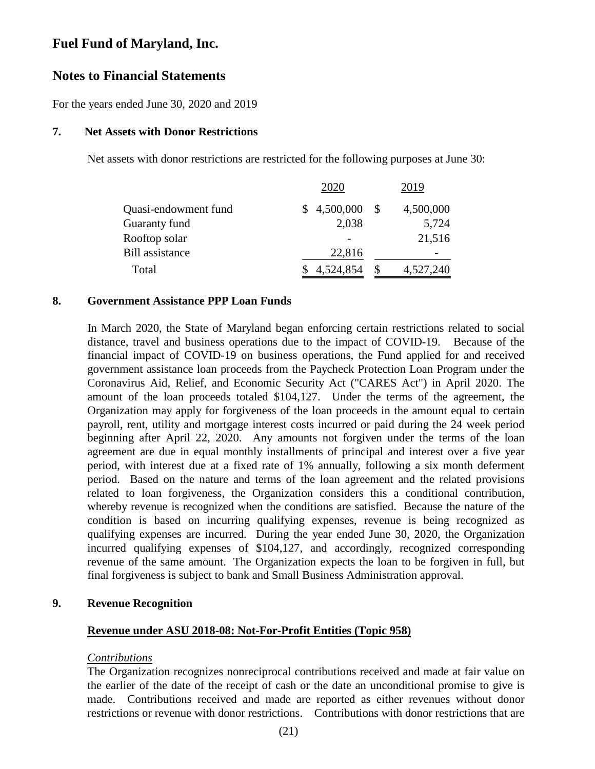# **Notes to Financial Statements**

For the years ended June 30, 2020 and 2019

#### **7. Net Assets with Donor Restrictions**

Net assets with donor restrictions are restricted for the following purposes at June 30:

|                        | 2020        | 2019      |
|------------------------|-------------|-----------|
| Quasi-endowment fund   | \$4,500,000 | 4,500,000 |
| Guaranty fund          | 2,038       | 5,724     |
| Rooftop solar          |             | 21,516    |
| <b>Bill</b> assistance | 22,816      |           |
| Total                  | 4,524,854   | 4,527,240 |

### **8. Government Assistance PPP Loan Funds**

In March 2020, the State of Maryland began enforcing certain restrictions related to social distance, travel and business operations due to the impact of COVID-19. Because of the financial impact of COVID-19 on business operations, the Fund applied for and received government assistance loan proceeds from the Paycheck Protection Loan Program under the Coronavirus Aid, Relief, and Economic Security Act ("CARES Act") in April 2020. The amount of the loan proceeds totaled \$104,127. Under the terms of the agreement, the Organization may apply for forgiveness of the loan proceeds in the amount equal to certain payroll, rent, utility and mortgage interest costs incurred or paid during the 24 week period beginning after April 22, 2020. Any amounts not forgiven under the terms of the loan agreement are due in equal monthly installments of principal and interest over a five year period, with interest due at a fixed rate of 1% annually, following a six month deferment period. Based on the nature and terms of the loan agreement and the related provisions related to loan forgiveness, the Organization considers this a conditional contribution, whereby revenue is recognized when the conditions are satisfied. Because the nature of the condition is based on incurring qualifying expenses, revenue is being recognized as qualifying expenses are incurred. During the year ended June 30, 2020, the Organization incurred qualifying expenses of \$104,127, and accordingly, recognized corresponding revenue of the same amount. The Organization expects the loan to be forgiven in full, but final forgiveness is subject to bank and Small Business Administration approval.

## **9. Revenue Recognition**

#### **Revenue under ASU 2018-08: Not-For-Profit Entities (Topic 958)**

#### *Contributions*

The Organization recognizes nonreciprocal contributions received and made at fair value on the earlier of the date of the receipt of cash or the date an unconditional promise to give is made. Contributions received and made are reported as either revenues without donor restrictions or revenue with donor restrictions. Contributions with donor restrictions that are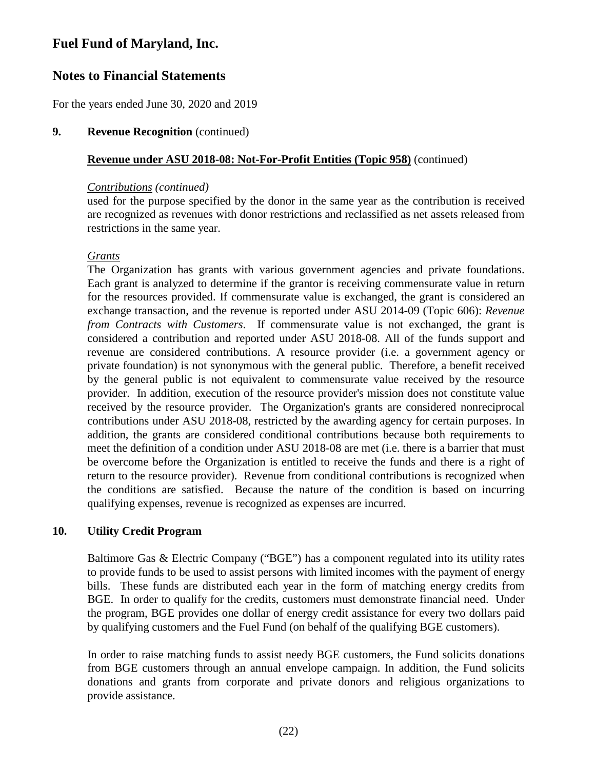# **Notes to Financial Statements**

For the years ended June 30, 2020 and 2019

# **9. Revenue Recognition** (continued)

## **Revenue under ASU 2018-08: Not-For-Profit Entities (Topic 958)** (continued)

### *Contributions (continued)*

used for the purpose specified by the donor in the same year as the contribution is received are recognized as revenues with donor restrictions and reclassified as net assets released from restrictions in the same year.

### *Grants*

The Organization has grants with various government agencies and private foundations. Each grant is analyzed to determine if the grantor is receiving commensurate value in return for the resources provided. If commensurate value is exchanged, the grant is considered an exchange transaction, and the revenue is reported under ASU 2014-09 (Topic 606): *Revenue from Contracts with Customers*. If commensurate value is not exchanged, the grant is considered a contribution and reported under ASU 2018-08. All of the funds support and revenue are considered contributions. A resource provider (i.e. a government agency or private foundation) is not synonymous with the general public. Therefore, a benefit received by the general public is not equivalent to commensurate value received by the resource provider. In addition, execution of the resource provider's mission does not constitute value received by the resource provider. The Organization's grants are considered nonreciprocal contributions under ASU 2018-08, restricted by the awarding agency for certain purposes. In addition, the grants are considered conditional contributions because both requirements to meet the definition of a condition under ASU 2018-08 are met (i.e. there is a barrier that must be overcome before the Organization is entitled to receive the funds and there is a right of return to the resource provider). Revenue from conditional contributions is recognized when the conditions are satisfied. Because the nature of the condition is based on incurring qualifying expenses, revenue is recognized as expenses are incurred.

## **10. Utility Credit Program**

Baltimore Gas & Electric Company ("BGE") has a component regulated into its utility rates to provide funds to be used to assist persons with limited incomes with the payment of energy bills. These funds are distributed each year in the form of matching energy credits from BGE. In order to qualify for the credits, customers must demonstrate financial need. Under the program, BGE provides one dollar of energy credit assistance for every two dollars paid by qualifying customers and the Fuel Fund (on behalf of the qualifying BGE customers).

In order to raise matching funds to assist needy BGE customers, the Fund solicits donations from BGE customers through an annual envelope campaign. In addition, the Fund solicits donations and grants from corporate and private donors and religious organizations to provide assistance.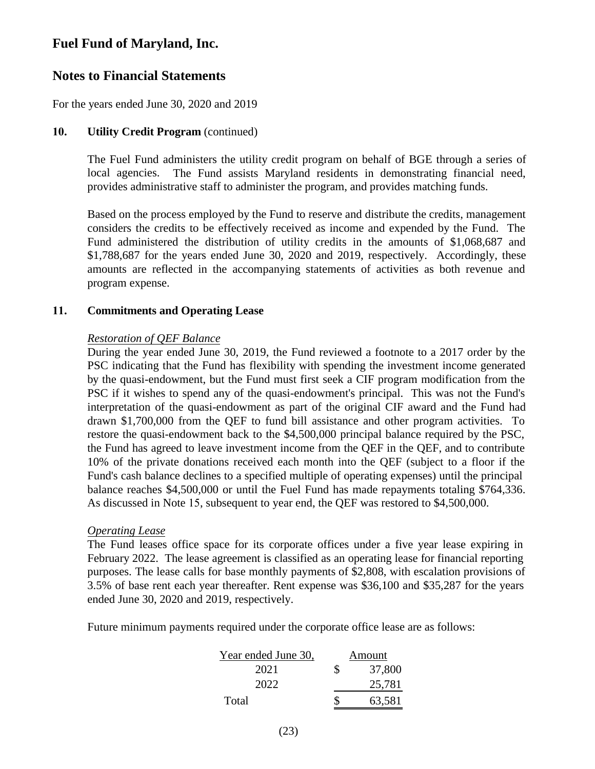# **Notes to Financial Statements**

For the years ended June 30, 2020 and 2019

### **10. Utility Credit Program** (continued)

The Fuel Fund administers the utility credit program on behalf of BGE through a series of local agencies. The Fund assists Maryland residents in demonstrating financial need, provides administrative staff to administer the program, and provides matching funds.

Based on the process employed by the Fund to reserve and distribute the credits, management considers the credits to be effectively received as income and expended by the Fund. The Fund administered the distribution of utility credits in the amounts of \$1,068,687 and \$1,788,687 for the years ended June 30, 2020 and 2019, respectively. Accordingly, these amounts are reflected in the accompanying statements of activities as both revenue and program expense.

#### **11. Commitments and Operating Lease**

#### *Restoration of QEF Balance*

During the year ended June 30, 2019, the Fund reviewed a footnote to a 2017 order by the PSC indicating that the Fund has flexibility with spending the investment income generated by the quasi-endowment, but the Fund must first seek a CIF program modification from the PSC if it wishes to spend any of the quasi-endowment's principal. This was not the Fund's interpretation of the quasi-endowment as part of the original CIF award and the Fund had drawn \$1,700,000 from the QEF to fund bill assistance and other program activities. To restore the quasi-endowment back to the \$4,500,000 principal balance required by the PSC, the Fund has agreed to leave investment income from the QEF in the QEF, and to contribute 10% of the private donations received each month into the QEF (subject to a floor if the Fund's cash balance declines to a specified multiple of operating expenses) until the principal balance reaches \$4,500,000 or until the Fuel Fund has made repayments totaling \$764,336. As discussed in Note 15, subsequent to year end, the QEF was restored to \$4,500,000.

#### *Operating Lease*

The Fund leases office space for its corporate offices under a five year lease expiring in February 2022. The lease agreement is classified as an operating lease for financial reporting purposes. The lease calls for base monthly payments of \$2,808, with escalation provisions of 3.5% of base rent each year thereafter. Rent expense was \$36,100 and \$35,287 for the years ended June 30, 2020 and 2019, respectively.

Future minimum payments required under the corporate office lease are as follows:

| Year ended June 30, |    | Amount |
|---------------------|----|--------|
| 2021                | \$ | 37,800 |
| 2022                |    | 25,781 |
| Total               | S  | 63,581 |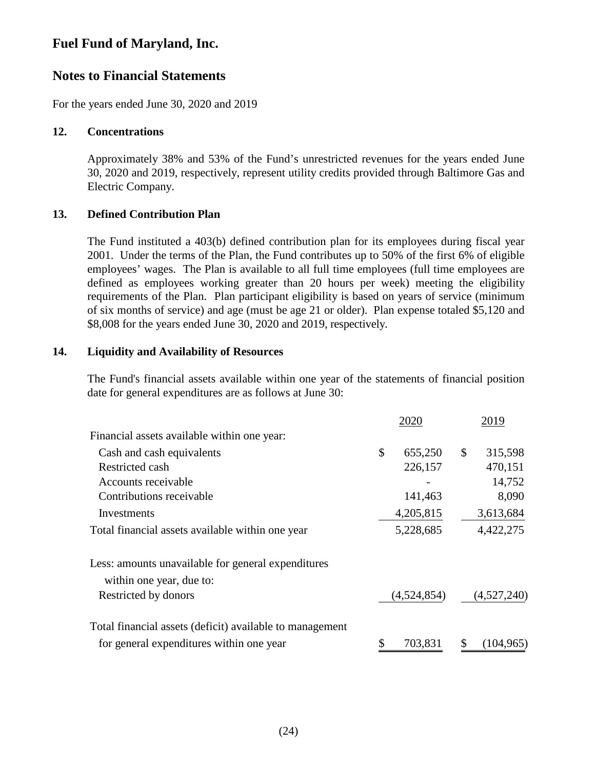# **Notes to Financial Statements**

For the years ended June 30, 2020 and 2019

### **12. Concentrations**

Approximately 38% and 53% of the Fund's unrestricted revenues for the years ended June 30, 2020 and 2019, respectively, represent utility credits provided through Baltimore Gas and Electric Company.

## **13. Defined Contribution Plan**

The Fund instituted a 403(b) defined contribution plan for its employees during fiscal year 2001. Under the terms of the Plan, the Fund contributes up to 50% of the first 6% of eligible employees' wages. The Plan is available to all full time employees (full time employees are defined as employees working greater than 20 hours per week) meeting the eligibility requirements of the Plan. Plan participant eligibility is based on years of service (minimum of six months of service) and age (must be age 21 or older). Plan expense totaled \$5,120 and \$8,008 for the years ended June 30, 2020 and 2019, respectively.

### **14. Liquidity and Availability of Resources**

The Fund's financial assets available within one year of the statements of financial position date for general expenditures are as follows at June 30:

|                                                          | 2020 |             | 2019 |             |
|----------------------------------------------------------|------|-------------|------|-------------|
| Financial assets available within one year:              |      |             |      |             |
| Cash and cash equivalents                                | \$   | 655,250     | \$   | 315,598     |
| Restricted cash                                          |      | 226,157     |      | 470,151     |
| Accounts receivable                                      |      |             |      | 14,752      |
| Contributions receivable                                 |      | 141,463     |      | 8,090       |
| Investments                                              |      | 4,205,815   |      | 3,613,684   |
| Total financial assets available within one year         |      | 5,228,685   |      | 4,422,275   |
| Less: amounts unavailable for general expenditures       |      |             |      |             |
| within one year, due to:                                 |      |             |      |             |
| Restricted by donors                                     |      | (4,524,854) |      | (4,527,240) |
| Total financial assets (deficit) available to management |      |             |      |             |
| for general expenditures within one year                 |      | 703,831     | \$   | (104, 965)  |